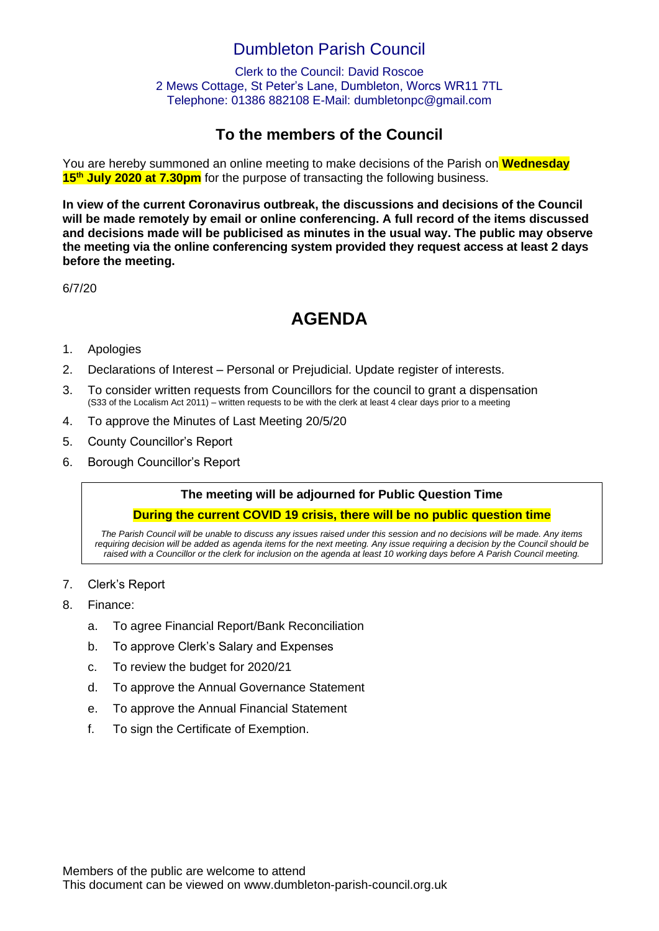## Dumbleton Parish Council

Clerk to the Council: David Roscoe 2 Mews Cottage, St Peter's Lane, Dumbleton, Worcs WR11 7TL Telephone: 01386 882108 E-Mail: dumbletonpc@gmail.com

### **To the members of the Council**

You are hereby summoned an online meeting to make decisions of the Parish on **Wednesday 15th July 2020 at 7.30pm** for the purpose of transacting the following business.

**In view of the current Coronavirus outbreak, the discussions and decisions of the Council will be made remotely by email or online conferencing. A full record of the items discussed and decisions made will be publicised as minutes in the usual way. The public may observe the meeting via the online conferencing system provided they request access at least 2 days before the meeting.**

6/7/20

# **AGENDA**

#### 1. Apologies

- 2. Declarations of Interest Personal or Prejudicial. Update register of interests.
- 3. To consider written requests from Councillors for the council to grant a dispensation (S33 of the Localism Act 2011) – written requests to be with the clerk at least 4 clear days prior to a meeting
- 4. To approve the Minutes of Last Meeting 20/5/20
- 5. County Councillor's Report
- 6. Borough Councillor's Report

#### **The meeting will be adjourned for Public Question Time**

#### **During the current COVID 19 crisis, there will be no public question time**

*The Parish Council will be unable to discuss any issues raised under this session and no decisions will be made. Any items requiring decision will be added as agenda items for the next meeting. Any issue requiring a decision by the Council should be raised with a Councillor or the clerk for inclusion on the agenda at least 10 working days before A Parish Council meeting.*

- 7. Clerk's Report
- 8. Finance:
	- a. To agree Financial Report/Bank Reconciliation
	- b. To approve Clerk's Salary and Expenses
	- c. To review the budget for 2020/21
	- d. To approve the Annual Governance Statement
	- e. To approve the Annual Financial Statement
	- f. To sign the Certificate of Exemption.